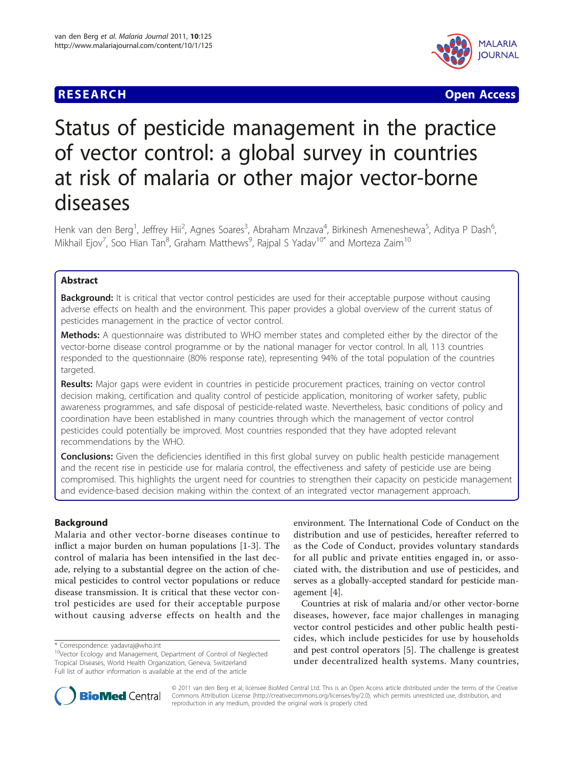# **RESEARCH CONTROL** CONTROL CONTROL CONTROL CONTROL CONTROL CONTROL CONTROL CONTROL CONTROL CONTROL CONTROL CONTROL



# Status of pesticide management in the practice of vector control: a global survey in countries at risk of malaria or other major vector-borne diseases

Henk van den Berg<sup>1</sup>, Jeffrey Hii<sup>2</sup>, Agnes Soares<sup>3</sup>, Abraham Mnzava<sup>4</sup>, Birkinesh Ameneshewa<sup>5</sup>, Aditya P Dash<sup>6</sup> , Mikhail Ejov<sup>7</sup>, Soo Hian Tan<sup>8</sup>, Graham Matthews<sup>9</sup>, Rajpal S Yadav<sup>10\*</sup> and Morteza Zaim<sup>10</sup>

# Abstract

**Background:** It is critical that vector control pesticides are used for their acceptable purpose without causing adverse effects on health and the environment. This paper provides a global overview of the current status of pesticides management in the practice of vector control.

Methods: A questionnaire was distributed to WHO member states and completed either by the director of the vector-borne disease control programme or by the national manager for vector control. In all, 113 countries responded to the questionnaire (80% response rate), representing 94% of the total population of the countries targeted.

Results: Major gaps were evident in countries in pesticide procurement practices, training on vector control decision making, certification and quality control of pesticide application, monitoring of worker safety, public awareness programmes, and safe disposal of pesticide-related waste. Nevertheless, basic conditions of policy and coordination have been established in many countries through which the management of vector control pesticides could potentially be improved. Most countries responded that they have adopted relevant recommendations by the WHO.

**Conclusions:** Given the deficiencies identified in this first global survey on public health pesticide management and the recent rise in pesticide use for malaria control, the effectiveness and safety of pesticide use are being compromised. This highlights the urgent need for countries to strengthen their capacity on pesticide management and evidence-based decision making within the context of an integrated vector management approach.

# **Background**

Malaria and other vector-borne diseases continue to inflict a major burden on human populations [\[1-3\]](#page-8-0). The control of malaria has been intensified in the last decade, relying to a substantial degree on the action of chemical pesticides to control vector populations or reduce disease transmission. It is critical that these vector control pesticides are used for their acceptable purpose without causing adverse effects on health and the environment. The International Code of Conduct on the distribution and use of pesticides, hereafter referred to as the Code of Conduct, provides voluntary standards for all public and private entities engaged in, or associated with, the distribution and use of pesticides, and serves as a globally-accepted standard for pesticide management [[4](#page-8-0)].

Countries at risk of malaria and/or other vector-borne diseases, however, face major challenges in managing vector control pesticides and other public health pesticides, which include pesticides for use by households and pest control operators [[5\]](#page-8-0). The challenge is greatest under decentralized health systems. Many countries,



© 2011 van den Berg et al; licensee BioMed Central Ltd. This is an Open Access article distributed under the terms of the Creative Commons Attribution License [\(http://creativecommons.org/licenses/by/2.0](http://creativecommons.org/licenses/by/2.0)), which permits unrestricted use, distribution, and reproduction in any medium, provided the original work is properly cited.

<sup>\*</sup> Correspondence: [yadavraj@who.int](mailto:yadavraj@who.int)

<sup>&</sup>lt;sup>10</sup>Vector Ecology and Management, Department of Control of Neglected Tropical Diseases, World Health Organization, Geneva, Switzerland Full list of author information is available at the end of the article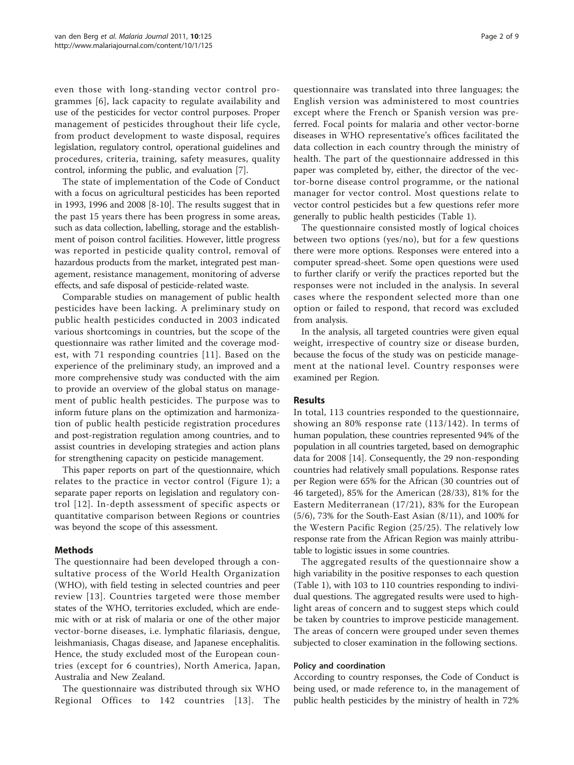even those with long-standing vector control programmes [\[6\]](#page-8-0), lack capacity to regulate availability and use of the pesticides for vector control purposes. Proper management of pesticides throughout their life cycle, from product development to waste disposal, requires legislation, regulatory control, operational guidelines and procedures, criteria, training, safety measures, quality control, informing the public, and evaluation [[7](#page-8-0)].

The state of implementation of the Code of Conduct with a focus on agricultural pesticides has been reported in 1993, 1996 and 2008 [\[8](#page-8-0)-[10](#page-8-0)]. The results suggest that in the past 15 years there has been progress in some areas, such as data collection, labelling, storage and the establishment of poison control facilities. However, little progress was reported in pesticide quality control, removal of hazardous products from the market, integrated pest management, resistance management, monitoring of adverse effects, and safe disposal of pesticide-related waste.

Comparable studies on management of public health pesticides have been lacking. A preliminary study on public health pesticides conducted in 2003 indicated various shortcomings in countries, but the scope of the questionnaire was rather limited and the coverage modest, with 71 responding countries [[11](#page-8-0)]. Based on the experience of the preliminary study, an improved and a more comprehensive study was conducted with the aim to provide an overview of the global status on management of public health pesticides. The purpose was to inform future plans on the optimization and harmonization of public health pesticide registration procedures and post-registration regulation among countries, and to assist countries in developing strategies and action plans for strengthening capacity on pesticide management.

This paper reports on part of the questionnaire, which relates to the practice in vector control (Figure [1\)](#page-2-0); a separate paper reports on legislation and regulatory control [[12\]](#page-8-0). In-depth assessment of specific aspects or quantitative comparison between Regions or countries was beyond the scope of this assessment.

# Methods

The questionnaire had been developed through a consultative process of the World Health Organization (WHO), with field testing in selected countries and peer review [[13\]](#page-8-0). Countries targeted were those member states of the WHO, territories excluded, which are endemic with or at risk of malaria or one of the other major vector-borne diseases, i.e. lymphatic filariasis, dengue, leishmaniasis, Chagas disease, and Japanese encephalitis. Hence, the study excluded most of the European countries (except for 6 countries), North America, Japan, Australia and New Zealand.

The questionnaire was distributed through six WHO Regional Offices to 142 countries [[13](#page-8-0)]. The

questionnaire was translated into three languages; the English version was administered to most countries except where the French or Spanish version was preferred. Focal points for malaria and other vector-borne diseases in WHO representative's offices facilitated the data collection in each country through the ministry of health. The part of the questionnaire addressed in this paper was completed by, either, the director of the vector-borne disease control programme, or the national manager for vector control. Most questions relate to vector control pesticides but a few questions refer more generally to public health pesticides (Table [1\)](#page-3-0).

The questionnaire consisted mostly of logical choices between two options (yes/no), but for a few questions there were more options. Responses were entered into a computer spread-sheet. Some open questions were used to further clarify or verify the practices reported but the responses were not included in the analysis. In several cases where the respondent selected more than one option or failed to respond, that record was excluded from analysis.

In the analysis, all targeted countries were given equal weight, irrespective of country size or disease burden, because the focus of the study was on pesticide management at the national level. Country responses were examined per Region.

## Results

In total, 113 countries responded to the questionnaire, showing an 80% response rate (113/142). In terms of human population, these countries represented 94% of the population in all countries targeted, based on demographic data for 2008 [\[14](#page-8-0)]. Consequently, the 29 non-responding countries had relatively small populations. Response rates per Region were 65% for the African (30 countries out of 46 targeted), 85% for the American (28/33), 81% for the Eastern Mediterranean (17/21), 83% for the European (5/6), 73% for the South-East Asian (8/11), and 100% for the Western Pacific Region (25/25). The relatively low response rate from the African Region was mainly attributable to logistic issues in some countries.

The aggregated results of the questionnaire show a high variability in the positive responses to each question (Table [1](#page-3-0)), with 103 to 110 countries responding to individual questions. The aggregated results were used to highlight areas of concern and to suggest steps which could be taken by countries to improve pesticide management. The areas of concern were grouped under seven themes subjected to closer examination in the following sections.

#### Policy and coordination

According to country responses, the Code of Conduct is being used, or made reference to, in the management of public health pesticides by the ministry of health in 72%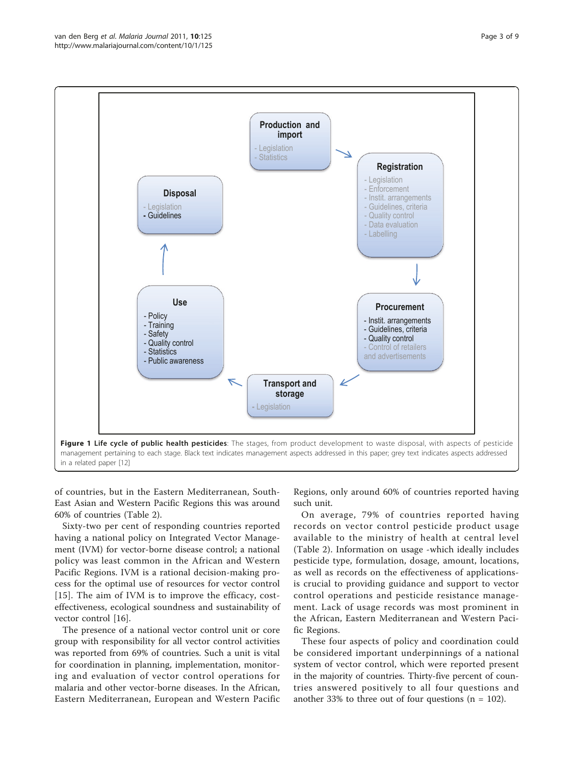<span id="page-2-0"></span>

in a related paper [\[12\]](#page-8-0)

of countries, but in the Eastern Mediterranean, South-East Asian and Western Pacific Regions this was around 60% of countries (Table [2\)](#page-4-0).

Sixty-two per cent of responding countries reported having a national policy on Integrated Vector Management (IVM) for vector-borne disease control; a national policy was least common in the African and Western Pacific Regions. IVM is a rational decision-making process for the optimal use of resources for vector control [[15](#page-8-0)]. The aim of IVM is to improve the efficacy, costeffectiveness, ecological soundness and sustainability of vector control [[16\]](#page-8-0).

The presence of a national vector control unit or core group with responsibility for all vector control activities was reported from 69% of countries. Such a unit is vital for coordination in planning, implementation, monitoring and evaluation of vector control operations for malaria and other vector-borne diseases. In the African, Eastern Mediterranean, European and Western Pacific

Regions, only around 60% of countries reported having such unit.

On average, 79% of countries reported having records on vector control pesticide product usage available to the ministry of health at central level (Table [2\)](#page-4-0). Information on usage -which ideally includes pesticide type, formulation, dosage, amount, locations, as well as records on the effectiveness of applicationsis crucial to providing guidance and support to vector control operations and pesticide resistance management. Lack of usage records was most prominent in the African, Eastern Mediterranean and Western Pacific Regions.

These four aspects of policy and coordination could be considered important underpinnings of a national system of vector control, which were reported present in the majority of countries. Thirty-five percent of countries answered positively to all four questions and another 33% to three out of four questions ( $n = 102$ ).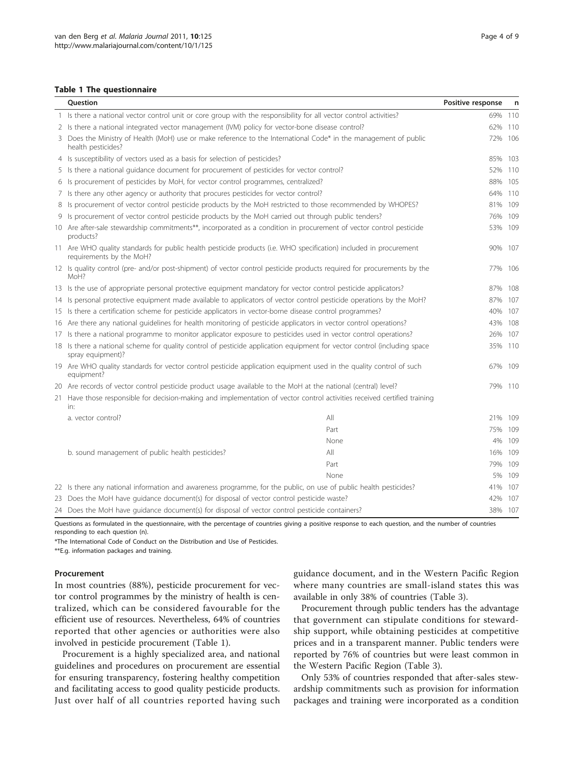#### <span id="page-3-0"></span>Table 1 The questionnaire

| Question                                                                                                                                       | Positive response | n       |
|------------------------------------------------------------------------------------------------------------------------------------------------|-------------------|---------|
| 1 Is there a national vector control unit or core group with the responsibility for all vector control activities?                             |                   | 69% 110 |
| 2 Is there a national integrated vector management (IVM) policy for vector-bone disease control?                                               |                   | 62% 110 |
| 3 Does the Ministry of Health (MoH) use or make reference to the International Code* in the management of public<br>health pesticides?         |                   | 72% 106 |
| 4 Is susceptibility of vectors used as a basis for selection of pesticides?                                                                    |                   | 85% 103 |
| 5 Is there a national guidance document for procurement of pesticides for vector control?                                                      | 52%               | 110     |
| 6 Is procurement of pesticides by MoH, for vector control programmes, centralized?                                                             | 88%               | 105     |
| 7 Is there any other agency or authority that procures pesticides for vector control?                                                          |                   | 64% 110 |
| 8 Is procurement of vector control pesticide products by the MoH restricted to those recommended by WHOPES?                                    |                   | 81% 109 |
| 9 Is procurement of vector control pesticide products by the MoH carried out through public tenders?                                           |                   | 76% 109 |
| 10 Are after-sale stewardship commitments**, incorporated as a condition in procurement of vector control pesticide<br>products?               |                   | 53% 109 |
| 11 Are WHO quality standards for public health pesticide products (i.e. WHO specification) included in procurement<br>requirements by the MoH? |                   | 90% 107 |
| 12 Is quality control (pre- and/or post-shipment) of vector control pesticide products required for procurements by the<br>MoH?                |                   | 77% 106 |
| 13 Is the use of appropriate personal protective equipment mandatory for vector control pesticide applicators?                                 | 87%               | - 108   |
| 14 Is personal protective equipment made available to applicators of vector control pesticide operations by the MoH?                           | 87%               | 107     |
| 15 Is there a certification scheme for pesticide applicators in vector-borne disease control programmes?                                       | 40%               | 107     |
| 16 Are there any national guidelines for health monitoring of pesticide applicators in vector control operations?                              |                   | 43% 108 |
| 17 Is there a national programme to monitor applicator exposure to pesticides used in vector control operations?                               |                   | 26% 107 |
| 18 Is there a national scheme for quality control of pesticide application equipment for vector control (including space<br>spray equipment)?  |                   | 35% 110 |
| 19 Are WHO quality standards for vector control pesticide application equipment used in the quality control of such<br>equipment?              |                   | 67% 109 |
| 20 Are records of vector control pesticide product usage available to the MoH at the national (central) level?                                 |                   | 79% 110 |
| 21 Have those responsible for decision-making and implementation of vector control activities received certified training<br>in:               |                   |         |
| All<br>a. vector control?                                                                                                                      |                   | 21% 109 |
| Part                                                                                                                                           |                   | 75% 109 |
| None                                                                                                                                           |                   | 4% 109  |
| All<br>b. sound management of public health pesticides?                                                                                        |                   | 16% 109 |
| Part                                                                                                                                           |                   | 79% 109 |
| None                                                                                                                                           |                   | 5% 109  |
| 22 Is there any national information and awareness programme, for the public, on use of public health pesticides?                              |                   | 41% 107 |
| 23 Does the MoH have guidance document(s) for disposal of vector control pesticide waste?                                                      |                   | 42% 107 |
| 24 Does the MoH have quidance document(s) for disposal of vector control pesticide containers?                                                 |                   | 38% 107 |

Questions as formulated in the questionnaire, with the percentage of countries giving a positive response to each question, and the number of countries responding to each question (n).

\*The International Code of Conduct on the Distribution and Use of Pesticides.

\*\*E.g. information packages and training.

#### Procurement

In most countries (88%), pesticide procurement for vector control programmes by the ministry of health is centralized, which can be considered favourable for the efficient use of resources. Nevertheless, 64% of countries reported that other agencies or authorities were also involved in pesticide procurement (Table 1).

Procurement is a highly specialized area, and national guidelines and procedures on procurement are essential for ensuring transparency, fostering healthy competition and facilitating access to good quality pesticide products. Just over half of all countries reported having such guidance document, and in the Western Pacific Region where many countries are small-island states this was available in only 38% of countries (Table [3\)](#page-4-0).

Procurement through public tenders has the advantage that government can stipulate conditions for stewardship support, while obtaining pesticides at competitive prices and in a transparent manner. Public tenders were reported by 76% of countries but were least common in the Western Pacific Region (Table [3\)](#page-4-0).

Only 53% of countries responded that after-sales stewardship commitments such as provision for information packages and training were incorporated as a condition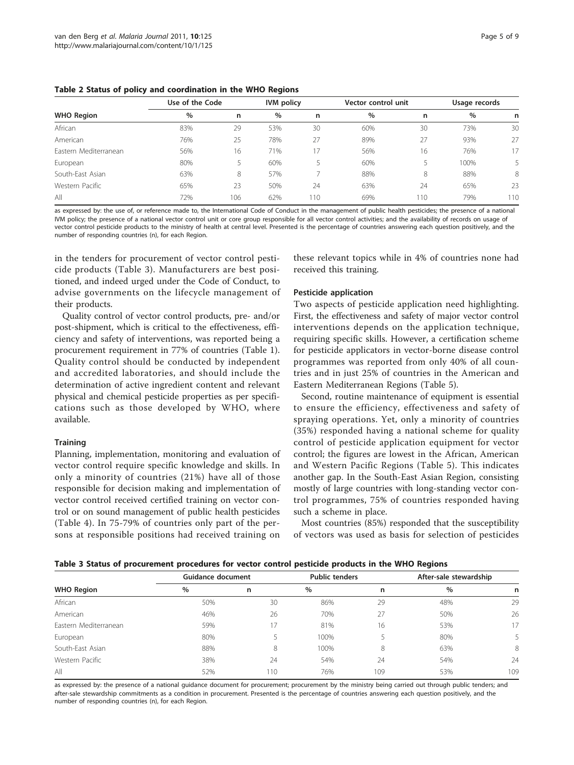<span id="page-4-0"></span>

|                       | Use of the Code |     | <b>IVM</b> policy |     | Vector control unit | Usage records |      |     |
|-----------------------|-----------------|-----|-------------------|-----|---------------------|---------------|------|-----|
| <b>WHO Region</b>     | $\%$            | n   | $\%$              | n   | $\%$                | n             | $\%$ | n   |
| African               | 83%             | 29  | 53%               | 30  | 60%                 | 30            | 73%  | 30  |
| American              | 76%             | 25  | 78%               | 27  | 89%                 | 27            | 93%  | 27  |
| Eastern Mediterranean | 56%             | 16  | 71%               | 17  | 56%                 | 16            | 76%  | 17  |
| European              | 80%             | 5   | 60%               |     | 60%                 |               | 100% | 5   |
| South-East Asian      | 63%             | 8   | 57%               |     | 88%                 | 8             | 88%  | 8   |
| Western Pacific       | 65%             | 23  | 50%               | 24  | 63%                 | 24            | 65%  | 23  |
| All                   | 72%             | 106 | 62%               | 110 | 69%                 | ' 10          | 79%  | 110 |

as expressed by: the use of, or reference made to, the International Code of Conduct in the management of public health pesticides; the presence of a national IVM policy; the presence of a national vector control unit or core group responsible for all vector control activities; and the availability of records on usage of vector control pesticide products to the ministry of health at central level. Presented is the percentage of countries answering each question positively, and the number of responding countries (n), for each Region.

in the tenders for procurement of vector control pesticide products (Table 3). Manufacturers are best positioned, and indeed urged under the Code of Conduct, to advise governments on the lifecycle management of their products.

Quality control of vector control products, pre- and/or post-shipment, which is critical to the effectiveness, efficiency and safety of interventions, was reported being a procurement requirement in 77% of countries (Table [1](#page-3-0)). Quality control should be conducted by independent and accredited laboratories, and should include the determination of active ingredient content and relevant physical and chemical pesticide properties as per specifications such as those developed by WHO, where available.

#### **Training**

Planning, implementation, monitoring and evaluation of vector control require specific knowledge and skills. In only a minority of countries (21%) have all of those responsible for decision making and implementation of vector control received certified training on vector control or on sound management of public health pesticides (Table [4](#page-5-0)). In 75-79% of countries only part of the persons at responsible positions had received training on

these relevant topics while in 4% of countries none had received this training.

#### Pesticide application

Two aspects of pesticide application need highlighting. First, the effectiveness and safety of major vector control interventions depends on the application technique, requiring specific skills. However, a certification scheme for pesticide applicators in vector-borne disease control programmes was reported from only 40% of all countries and in just 25% of countries in the American and Eastern Mediterranean Regions (Table [5\)](#page-5-0).

Second, routine maintenance of equipment is essential to ensure the efficiency, effectiveness and safety of spraying operations. Yet, only a minority of countries (35%) responded having a national scheme for quality control of pesticide application equipment for vector control; the figures are lowest in the African, American and Western Pacific Regions (Table [5\)](#page-5-0). This indicates another gap. In the South-East Asian Region, consisting mostly of large countries with long-standing vector control programmes, 75% of countries responded having such a scheme in place.

Most countries (85%) responded that the susceptibility of vectors was used as basis for selection of pesticides

|  |  | Table 3 Status of procurement procedures for vector control pesticide products in the WHO Regions |  |  |
|--|--|---------------------------------------------------------------------------------------------------|--|--|
|--|--|---------------------------------------------------------------------------------------------------|--|--|

|                       | <b>Guidance document</b> |     | <b>Public tenders</b> |     | After-sale stewardship |     |
|-----------------------|--------------------------|-----|-----------------------|-----|------------------------|-----|
| <b>WHO Region</b>     | $\%$                     | n   | $\%$                  | n   | $\%$                   | n   |
| African               | 50%                      | 30  | 86%                   | 29  | 48%                    | 29  |
| American              | 46%                      | 26  | 70%                   | 27  | 50%                    | 26  |
| Eastern Mediterranean | 59%                      | 17  | 81%                   | 16  | 53%                    | 17  |
| European              | 80%                      |     | 100%                  |     | 80%                    | 5   |
| South-East Asian      | 88%                      | 8   | 100%                  | 8   | 63%                    | 8   |
| Western Pacific       | 38%                      | 24  | 54%                   | 24  | 54%                    | 24  |
| All                   | 52%                      | 110 | 76%                   | 109 | 53%                    | 109 |

as expressed by: the presence of a national guidance document for procurement; procurement by the ministry being carried out through public tenders; and after-sale stewardship commitments as a condition in procurement. Presented is the percentage of countries answering each question positively, and the number of responding countries (n), for each Region.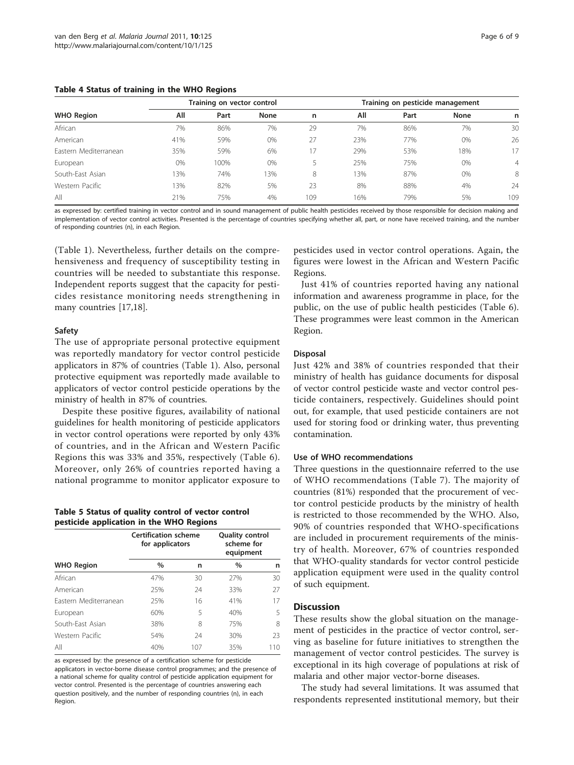<span id="page-5-0"></span>Table 4 Status of training in the WHO Regions

|                       | Training on vector control |      |      |    | Training on pesticide management |      |       |    |  |
|-----------------------|----------------------------|------|------|----|----------------------------------|------|-------|----|--|
| <b>WHO Region</b>     | All                        | Part | None | n  | All                              | Part | None  | n  |  |
| African               | 7%                         | 86%  | 7%   | 29 | 7%                               | 86%  | 7%    | 30 |  |
| American              | 41%                        | 59%  | 0%   | 27 | 23%                              | 77%  | $0\%$ | 26 |  |
| Eastern Mediterranean | 35%                        | 59%  | 6%   |    | 29%                              | 53%  | 18%   | 17 |  |
| European              | 0%                         | 100% | 0%   |    | 25%                              | 75%  | 0%    | 4  |  |
| South-East Asian      | $3\%$                      | 74%  | 3%   | 8  | 13%                              | 87%  | $0\%$ | 8  |  |
| Western Pacific       | 3%                         | 82%  | 5%   | 23 | 8%                               | 88%  | 4%    | 24 |  |
|                       |                            |      |      |    |                                  |      |       |    |  |

as expressed by: certified training in vector control and in sound management of public health pesticides received by those responsible for decision making and implementation of vector control activities. Presented is the percentage of countries specifying whether all, part, or none have received training, and the number of responding countries (n), in each Region.

All 21% 75% 4% 109 16% 79% 5% 109

(Table [1](#page-3-0)). Nevertheless, further details on the comprehensiveness and frequency of susceptibility testing in countries will be needed to substantiate this response. Independent reports suggest that the capacity for pesticides resistance monitoring needs strengthening in many countries [\[17,18\]](#page-8-0).

#### Safety

The use of appropriate personal protective equipment was reportedly mandatory for vector control pesticide applicators in 87% of countries (Table [1](#page-3-0)). Also, personal protective equipment was reportedly made available to applicators of vector control pesticide operations by the ministry of health in 87% of countries.

Despite these positive figures, availability of national guidelines for health monitoring of pesticide applicators in vector control operations were reported by only 43% of countries, and in the African and Western Pacific Regions this was 33% and 35%, respectively (Table [6\)](#page-6-0). Moreover, only 26% of countries reported having a national programme to monitor applicator exposure to

#### Table 5 Status of quality control of vector control pesticide application in the WHO Regions

|                       | <b>Certification scheme</b><br>for applicators |     | <b>Quality control</b><br>scheme for<br>equipment |     |  |
|-----------------------|------------------------------------------------|-----|---------------------------------------------------|-----|--|
| <b>WHO Region</b>     | $\%$                                           | n   | $\%$                                              | n   |  |
| African               | 47%                                            | 30  | 27%                                               | 30  |  |
| American              | 25%                                            | 24  | 33%                                               | 27  |  |
| Fastern Mediterranean | 25%                                            | 16  | 41%                                               | 17  |  |
| European              | 60%                                            | 5   | 40%                                               | 5   |  |
| South-Fast Asian      | 38%                                            | 8   | 75%                                               | 8   |  |
| Western Pacific       | 54%                                            | 24  | 30%                                               | 23  |  |
| All                   | 40%                                            | 107 | 35%                                               | 110 |  |

as expressed by: the presence of a certification scheme for pesticide applicators in vector-borne disease control programmes; and the presence of a national scheme for quality control of pesticide application equipment for vector control. Presented is the percentage of countries answering each question positively, and the number of responding countries (n), in each Region.

pesticides used in vector control operations. Again, the figures were lowest in the African and Western Pacific Regions.

Just 41% of countries reported having any national information and awareness programme in place, for the public, on the use of public health pesticides (Table [6](#page-6-0)). These programmes were least common in the American Region.

#### Disposal

Just 42% and 38% of countries responded that their ministry of health has guidance documents for disposal of vector control pesticide waste and vector control pesticide containers, respectively. Guidelines should point out, for example, that used pesticide containers are not used for storing food or drinking water, thus preventing contamination.

#### Use of WHO recommendations

Three questions in the questionnaire referred to the use of WHO recommendations (Table [7\)](#page-6-0). The majority of countries (81%) responded that the procurement of vector control pesticide products by the ministry of health is restricted to those recommended by the WHO. Also, 90% of countries responded that WHO-specifications are included in procurement requirements of the ministry of health. Moreover, 67% of countries responded that WHO-quality standards for vector control pesticide application equipment were used in the quality control of such equipment.

## **Discussion**

These results show the global situation on the management of pesticides in the practice of vector control, serving as baseline for future initiatives to strengthen the management of vector control pesticides. The survey is exceptional in its high coverage of populations at risk of malaria and other major vector-borne diseases.

The study had several limitations. It was assumed that respondents represented institutional memory, but their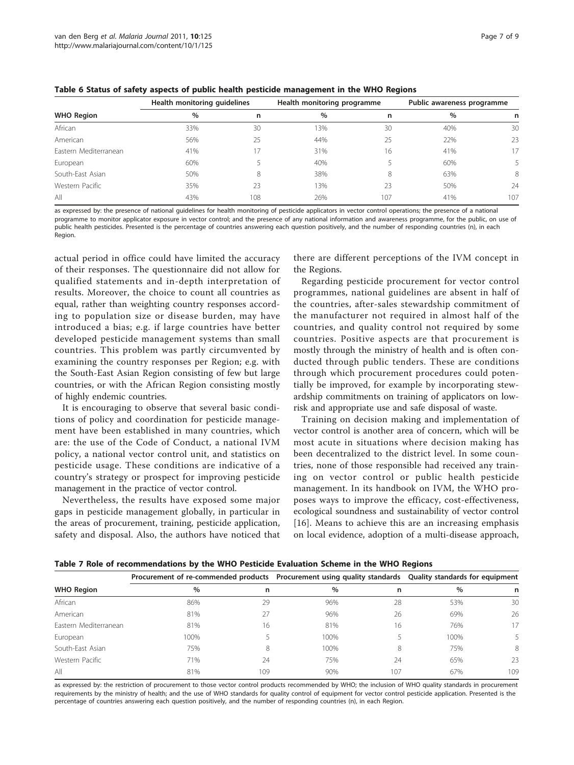|                       | Health monitoring guidelines |     | Health monitoring programme |     | Public awareness programme |     |
|-----------------------|------------------------------|-----|-----------------------------|-----|----------------------------|-----|
| <b>WHO Region</b>     | $\%$                         | n   | $\%$                        | n   | $\%$                       | n   |
| African               | 33%                          | 30  | 13%                         | 30  | 40%                        | 30  |
| American              | 56%                          | 25  | 44%                         | 25  | 22%                        | 23  |
| Eastern Mediterranean | 41%                          | 17  | 31%                         | 16  | 41%                        | 17  |
| European              | 60%                          |     | 40%                         |     | 60%                        |     |
| South-East Asian      | 50%                          |     | 38%                         | 8   | 63%                        | 8   |
| Western Pacific       | 35%                          | 23  | 13%                         | 23  | 50%                        | 24  |
| All                   | 43%                          | 108 | 26%                         | 107 | 41%                        | 107 |

<span id="page-6-0"></span>Table 6 Status of safety aspects of public health pesticide management in the WHO Regions

as expressed by: the presence of national guidelines for health monitoring of pesticide applicators in vector control operations; the presence of a national programme to monitor applicator exposure in vector control; and the presence of any national information and awareness programme, for the public, on use of public health pesticides. Presented is the percentage of countries answering each question positively, and the number of responding countries (n), in each Region.

actual period in office could have limited the accuracy of their responses. The questionnaire did not allow for qualified statements and in-depth interpretation of results. Moreover, the choice to count all countries as equal, rather than weighting country responses according to population size or disease burden, may have introduced a bias; e.g. if large countries have better developed pesticide management systems than small countries. This problem was partly circumvented by examining the country responses per Region; e.g. with the South-East Asian Region consisting of few but large countries, or with the African Region consisting mostly of highly endemic countries.

It is encouraging to observe that several basic conditions of policy and coordination for pesticide management have been established in many countries, which are: the use of the Code of Conduct, a national IVM policy, a national vector control unit, and statistics on pesticide usage. These conditions are indicative of a country's strategy or prospect for improving pesticide management in the practice of vector control.

Nevertheless, the results have exposed some major gaps in pesticide management globally, in particular in the areas of procurement, training, pesticide application, safety and disposal. Also, the authors have noticed that there are different perceptions of the IVM concept in the Regions.

Regarding pesticide procurement for vector control programmes, national guidelines are absent in half of the countries, after-sales stewardship commitment of the manufacturer not required in almost half of the countries, and quality control not required by some countries. Positive aspects are that procurement is mostly through the ministry of health and is often conducted through public tenders. These are conditions through which procurement procedures could potentially be improved, for example by incorporating stewardship commitments on training of applicators on lowrisk and appropriate use and safe disposal of waste.

Training on decision making and implementation of vector control is another area of concern, which will be most acute in situations where decision making has been decentralized to the district level. In some countries, none of those responsible had received any training on vector control or public health pesticide management. In its handbook on IVM, the WHO proposes ways to improve the efficacy, cost-effectiveness, ecological soundness and sustainability of vector control [[16](#page-8-0)]. Means to achieve this are an increasing emphasis on local evidence, adoption of a multi-disease approach,

Table 7 Role of recommendations by the WHO Pesticide Evaluation Scheme in the WHO Regions

|                       | Procurement of re-commended products Procurement using quality standards Quality standards for equipment |     |      |     |      |     |
|-----------------------|----------------------------------------------------------------------------------------------------------|-----|------|-----|------|-----|
| <b>WHO Region</b>     | $\%$                                                                                                     | n   | $\%$ | n   | $\%$ | n   |
| African               | 86%                                                                                                      | 29  | 96%  | 28  | 53%  | 30  |
| American              | 81%                                                                                                      | 27  | 96%  | 26  | 69%  | 26  |
| Eastern Mediterranean | 81%                                                                                                      | 16  | 81%  | 16  | 76%  | 17  |
| European              | 100%                                                                                                     |     | 100% |     | 100% |     |
| South-East Asian      | 75%                                                                                                      |     | 100% |     | 75%  | 8   |
| Western Pacific       | 71%                                                                                                      | 24  | 75%  | 24  | 65%  | 23  |
| All                   | 81%                                                                                                      | 109 | 90%  | 107 | 67%  | 109 |

as expressed by: the restriction of procurement to those vector control products recommended by WHO; the inclusion of WHO quality standards in procurement requirements by the ministry of health; and the use of WHO standards for quality control of equipment for vector control pesticide application. Presented is the percentage of countries answering each question positively, and the number of responding countries (n), in each Region.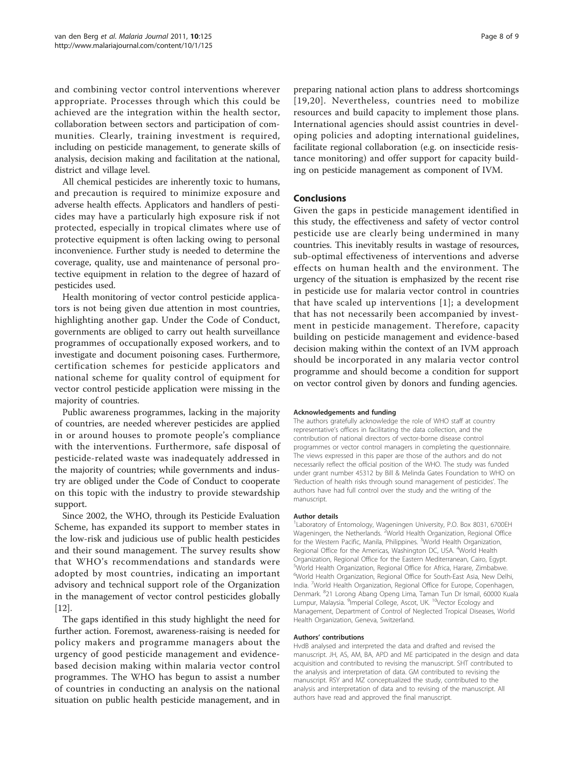and combining vector control interventions wherever appropriate. Processes through which this could be achieved are the integration within the health sector, collaboration between sectors and participation of communities. Clearly, training investment is required, including on pesticide management, to generate skills of analysis, decision making and facilitation at the national, district and village level.

All chemical pesticides are inherently toxic to humans, and precaution is required to minimize exposure and adverse health effects. Applicators and handlers of pesticides may have a particularly high exposure risk if not protected, especially in tropical climates where use of protective equipment is often lacking owing to personal inconvenience. Further study is needed to determine the coverage, quality, use and maintenance of personal protective equipment in relation to the degree of hazard of pesticides used.

Health monitoring of vector control pesticide applicators is not being given due attention in most countries, highlighting another gap. Under the Code of Conduct, governments are obliged to carry out health surveillance programmes of occupationally exposed workers, and to investigate and document poisoning cases. Furthermore, certification schemes for pesticide applicators and national scheme for quality control of equipment for vector control pesticide application were missing in the majority of countries.

Public awareness programmes, lacking in the majority of countries, are needed wherever pesticides are applied in or around houses to promote people's compliance with the interventions. Furthermore, safe disposal of pesticide-related waste was inadequately addressed in the majority of countries; while governments and industry are obliged under the Code of Conduct to cooperate on this topic with the industry to provide stewardship support.

Since 2002, the WHO, through its Pesticide Evaluation Scheme, has expanded its support to member states in the low-risk and judicious use of public health pesticides and their sound management. The survey results show that WHO's recommendations and standards were adopted by most countries, indicating an important advisory and technical support role of the Organization in the management of vector control pesticides globally [[12\]](#page-8-0).

The gaps identified in this study highlight the need for further action. Foremost, awareness-raising is needed for policy makers and programme managers about the urgency of good pesticide management and evidencebased decision making within malaria vector control programmes. The WHO has begun to assist a number of countries in conducting an analysis on the national situation on public health pesticide management, and in preparing national action plans to address shortcomings [[19](#page-8-0),[20](#page-8-0)]. Nevertheless, countries need to mobilize resources and build capacity to implement those plans. International agencies should assist countries in developing policies and adopting international guidelines, facilitate regional collaboration (e.g. on insecticide resistance monitoring) and offer support for capacity building on pesticide management as component of IVM.

# **Conclusions**

Given the gaps in pesticide management identified in this study, the effectiveness and safety of vector control pesticide use are clearly being undermined in many countries. This inevitably results in wastage of resources, sub-optimal effectiveness of interventions and adverse effects on human health and the environment. The urgency of the situation is emphasized by the recent rise in pesticide use for malaria vector control in countries that have scaled up interventions [[1\]](#page-8-0); a development that has not necessarily been accompanied by investment in pesticide management. Therefore, capacity building on pesticide management and evidence-based decision making within the context of an IVM approach should be incorporated in any malaria vector control programme and should become a condition for support on vector control given by donors and funding agencies.

#### Acknowledgements and funding

The authors gratefully acknowledge the role of WHO staff at country representative's offices in facilitating the data collection, and the contribution of national directors of vector-borne disease control programmes or vector control managers in completing the questionnaire. The views expressed in this paper are those of the authors and do not necessarily reflect the official position of the WHO. The study was funded under grant number 45312 by Bill & Melinda Gates Foundation to WHO on 'Reduction of health risks through sound management of pesticides'. The authors have had full control over the study and the writing of the manuscript.

#### Author details

<sup>1</sup>Laboratory of Entomology, Wageningen University, P.O. Box 8031, 6700EH Wageningen, the Netherlands. <sup>2</sup>World Health Organization, Regional Office for the Western Pacific, Manila, Philippines. <sup>3</sup>World Health Organization Regional Office for the Americas, Washington DC, USA. <sup>4</sup>World Health Organization, Regional Office for the Eastern Mediterranean, Cairo, Egypt. <sup>5</sup>World Health Organization, Regional Office for Africa, Harare, Zimbabwe 6 World Health Organization, Regional Office for South-East Asia, New Delhi, India. <sup>7</sup>World Health Organization, Regional Office for Europe, Copenhagen, Denmark. <sup>8</sup>21 Lorong Abang Openg Lima, Taman Tun Dr Ismail, 60000 Kuala Lumpur, Malaysia. <sup>9</sup>Imperial College, Ascot, UK. <sup>10</sup>Vector Ecology and Management, Department of Control of Neglected Tropical Diseases, World Health Organization, Geneva, Switzerland.

#### Authors' contributions

HvdB analysed and interpreted the data and drafted and revised the manuscript. JH, AS, AM, BA, APD and ME participated in the design and data acquisition and contributed to revising the manuscript. SHT contributed to the analysis and interpretation of data. GM contributed to revising the manuscript. RSY and MZ conceptualized the study, contributed to the analysis and interpretation of data and to revising of the manuscript. All authors have read and approved the final manuscript.